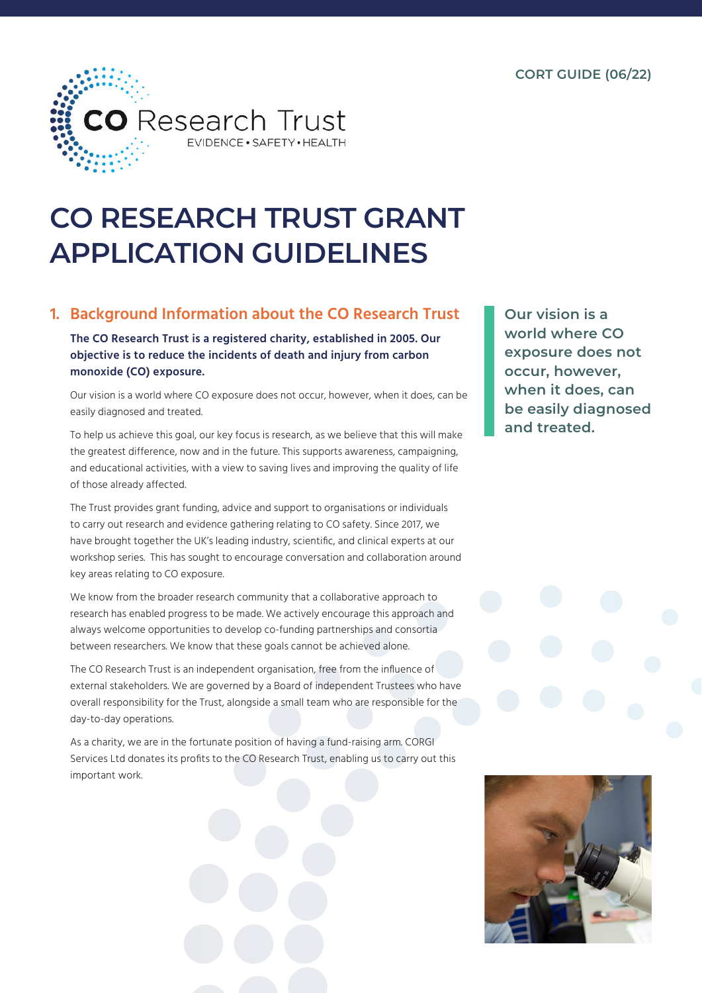

# **CO RESEARCH TRUST GRANT APPLICATION GUIDELINES**

# **1. Background Information about the CO Research Trust**

**The CO Research Trust is a registered charity, established in 2005. Our objective is to reduce the incidents of death and injury from carbon monoxide (CO) exposure.**

Our vision is a world where CO exposure does not occur, however, when it does, can be easily diagnosed and treated.

To help us achieve this goal, our key focus is research, as we believe that this will make the greatest difference, now and in the future. This supports awareness, campaigning, and educational activities, with a view to saving lives and improving the quality of life of those already affected.

The Trust provides grant funding, advice and support to organisations or individuals to carry out research and evidence gathering relating to CO safety. Since 2017, we have brought together the UK's leading industry, scientific, and clinical experts at our workshop series. This has sought to encourage conversation and collaboration around key areas relating to CO exposure.

We know from the broader research community that a collaborative approach to research has enabled progress to be made. We actively encourage this approach and always welcome opportunities to develop co-funding partnerships and consortia between researchers. We know that these goals cannot be achieved alone.

The CO Research Trust is an independent organisation, free from the influence of external stakeholders. We are governed by a Board of independent Trustees who have overall responsibility for the Trust, alongside a small team who are responsible for the day-to-day operations.

As a charity, we are in the fortunate position of having a fund-raising arm. CORGI Services Ltd donates its profits to the CO Research Trust, enabling us to carry out this important work.

**Our vision is a world where CO exposure does not occur, however, when it does, can be easily diagnosed and treated.**

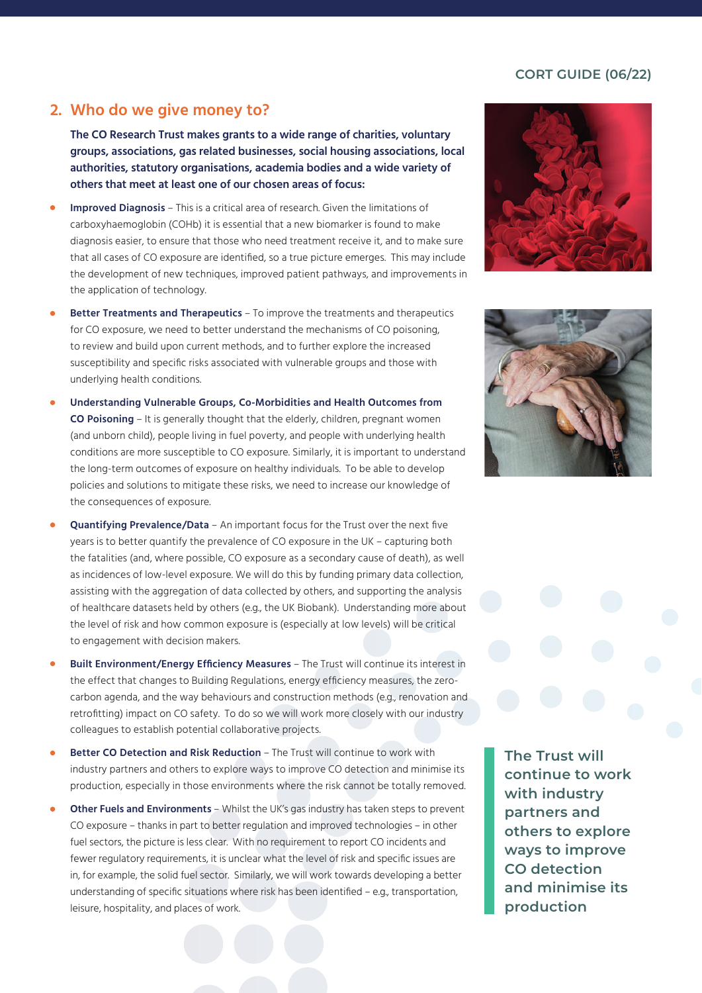#### **CORT GUIDE (06/22)**

## **2. Who do we give money to?**

**The CO Research Trust makes grants to a wide range of charities, voluntary groups, associations, gas related businesses, social housing associations, local authorities, statutory organisations, academia bodies and a wide variety of others that meet at least one of our chosen areas of focus:**

- **Improved Diagnosis** This is a critical area of research. Given the limitations of carboxyhaemoglobin (COHb) it is essential that a new biomarker is found to make diagnosis easier, to ensure that those who need treatment receive it, and to make sure that all cases of CO exposure are identified, so a true picture emerges. This may include the development of new techniques, improved patient pathways, and improvements in the application of technology.
- **Better Treatments and Therapeutics** To improve the treatments and therapeutics for CO exposure, we need to better understand the mechanisms of CO poisoning, to review and build upon current methods, and to further explore the increased susceptibility and specific risks associated with vulnerable groups and those with underlying health conditions.
- **Understanding Vulnerable Groups, Co-Morbidities and Health Outcomes from CO Poisoning** – It is generally thought that the elderly, children, pregnant women (and unborn child), people living in fuel poverty, and people with underlying health conditions are more susceptible to CO exposure. Similarly, it is important to understand the long-term outcomes of exposure on healthy individuals. To be able to develop policies and solutions to mitigate these risks, we need to increase our knowledge of the consequences of exposure.
- **Quantifying Prevalence/Data** An important focus for the Trust over the next five years is to better quantify the prevalence of CO exposure in the UK – capturing both the fatalities (and, where possible, CO exposure as a secondary cause of death), as well as incidences of low-level exposure. We will do this by funding primary data collection, assisting with the aggregation of data collected by others, and supporting the analysis of healthcare datasets held by others (e.g., the UK Biobank). Understanding more about the level of risk and how common exposure is (especially at low levels) will be critical to engagement with decision makers.
- **Built Environment/Energy Efficiency Measures** The Trust will continue its interest in the effect that changes to Building Regulations, energy efficiency measures, the zerocarbon agenda, and the way behaviours and construction methods (e.g., renovation and retrofitting) impact on CO safety. To do so we will work more closely with our industry colleagues to establish potential collaborative projects.
- **Better CO Detection and Risk Reduction** The Trust will continue to work with industry partners and others to explore ways to improve CO detection and minimise its production, especially in those environments where the risk cannot be totally removed.
- **Other Fuels and Environments** Whilst the UK's gas industry has taken steps to prevent CO exposure – thanks in part to better regulation and improved technologies – in other fuel sectors, the picture is less clear. With no requirement to report CO incidents and fewer regulatory requirements, it is unclear what the level of risk and specific issues are in, for example, the solid fuel sector. Similarly, we will work towards developing a better understanding of specific situations where risk has been identified – e.g., transportation, leisure, hospitality, and places of work.

**The Trust will continue to work with industry partners and others to explore ways to improve CO detection and minimise its production**



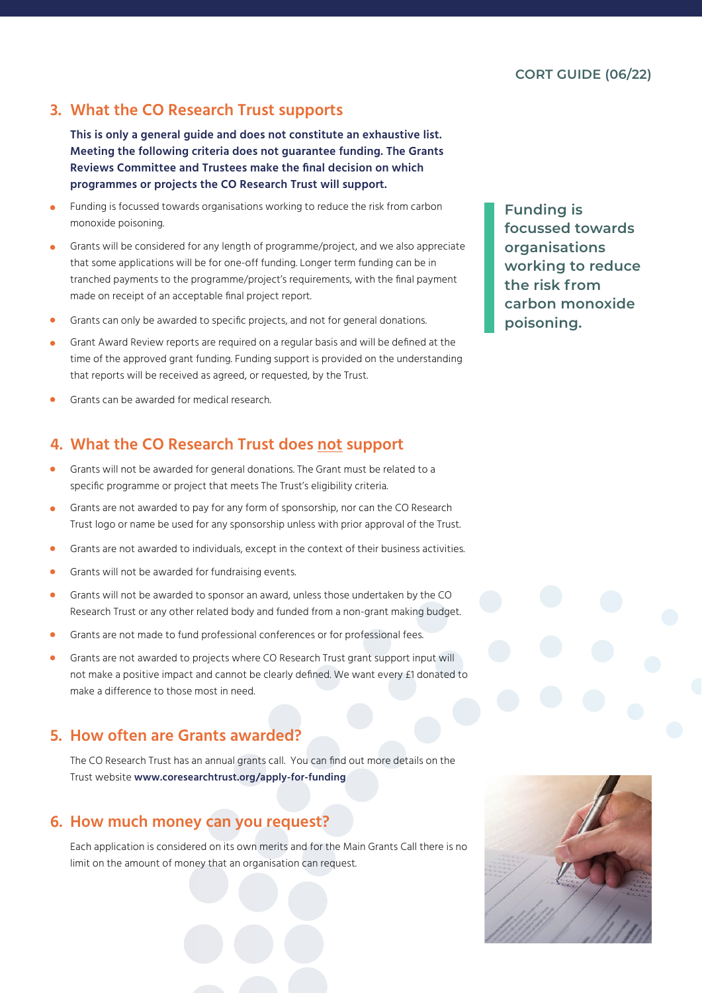# **3. What the CO Research Trust supports**

**This is only a general guide and does not constitute an exhaustive list. Meeting the following criteria does not guarantee funding. The Grants Reviews Committee and Trustees make the final decision on which programmes or projects the CO Research Trust will support.**

- Funding is focussed towards organisations working to reduce the risk from carbon monoxide poisoning.
- Grants will be considered for any length of programme/project, and we also appreciate  $\blacksquare$ that some applications will be for one-off funding. Longer term funding can be in tranched payments to the programme/project's requirements, with the final payment made on receipt of an acceptable final project report.
- Grants can only be awarded to specific projects, and not for general donations.
- Grant Award Review reports are required on a regular basis and will be defined at the  $\bullet$ time of the approved grant funding. Funding support is provided on the understanding that reports will be received as agreed, or requested, by the Trust.
- Grants can be awarded for medical research.

# **4. What the CO Research Trust does not support**

- Grants will not be awarded for general donations. The Grant must be related to a specific programme or project that meets The Trust's eligibility criteria.
- Grants are not awarded to pay for any form of sponsorship, nor can the CO Research  $\bullet$ Trust logo or name be used for any sponsorship unless with prior approval of the Trust.
- Grants are not awarded to individuals, except in the context of their business activities.  $\bullet$
- $\blacksquare$ Grants will not be awarded for fundraising events.
- Grants will not be awarded to sponsor an award, unless those undertaken by the CO  $\bullet$ Research Trust or any other related body and funded from a non-grant making budget.
- Grants are not made to fund professional conferences or for professional fees.
- Grants are not awarded to projects where CO Research Trust grant support input will  $\bullet$ not make a positive impact and cannot be clearly defined. We want every £1 donated to make a difference to those most in need.

#### **5. How often are Grants awarded?**

The CO Research Trust has an annual grants call. You can find out more details on the Trust website **www.coresearchtrust.org/apply-for-funding** 

#### **6. How much money can you request?**

Each application is considered on its own merits and for the Main Grants Call there is no limit on the amount of money that an organisation can request.



**Funding is focussed towards organisations working to reduce the risk from carbon monoxide poisoning.**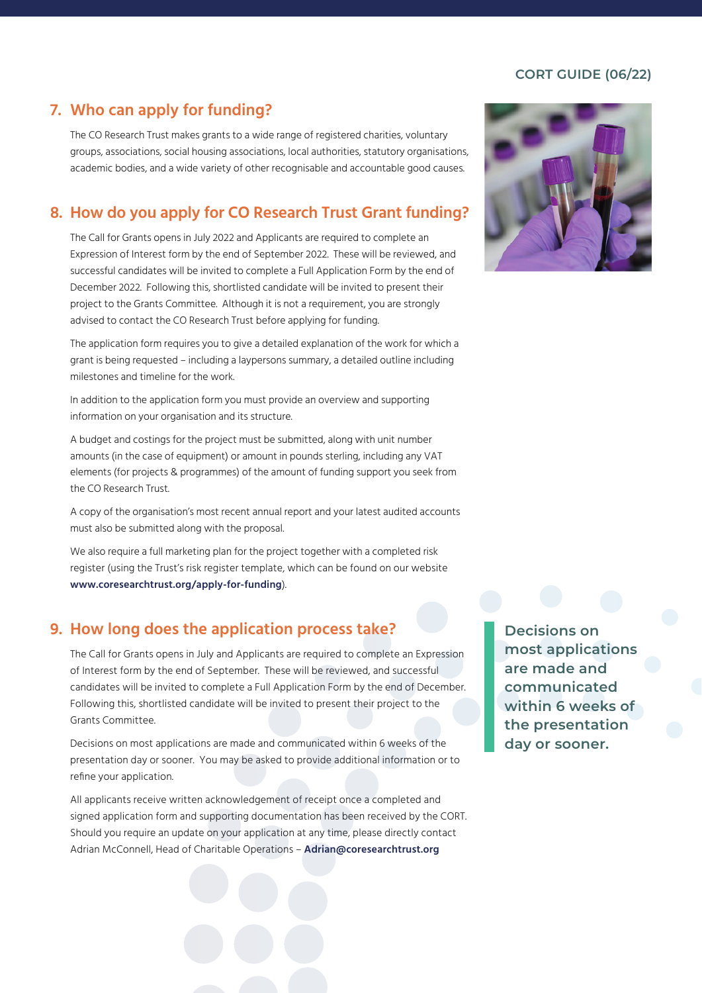#### **CORT GUIDE (06/22)**

## **7. Who can apply for funding?**

The CO Research Trust makes grants to a wide range of registered charities, voluntary groups, associations, social housing associations, local authorities, statutory organisations, academic bodies, and a wide variety of other recognisable and accountable good causes.

#### **8. How do you apply for CO Research Trust Grant funding?**

The Call for Grants opens in July 2022 and Applicants are required to complete an Expression of Interest form by the end of September 2022. These will be reviewed, and successful candidates will be invited to complete a Full Application Form by the end of December 2022. Following this, shortlisted candidate will be invited to present their project to the Grants Committee. Although it is not a requirement, you are strongly advised to contact the CO Research Trust before applying for funding.

The application form requires you to give a detailed explanation of the work for which a grant is being requested – including a laypersons summary, a detailed outline including milestones and timeline for the work.

In addition to the application form you must provide an overview and supporting information on your organisation and its structure.

A budget and costings for the project must be submitted, along with unit number amounts (in the case of equipment) or amount in pounds sterling, including any VAT elements (for projects & programmes) of the amount of funding support you seek from the CO Research Trust.

A copy of the organisation's most recent annual report and your latest audited accounts must also be submitted along with the proposal.

We also require a full marketing plan for the project together with a completed risk register (using the Trust's risk register template, which can be found on our website **www.coresearchtrust.org/apply-for-funding**).

#### **9. How long does the application process take?**

The Call for Grants opens in July and Applicants are required to complete an Expression of Interest form by the end of September. These will be reviewed, and successful candidates will be invited to complete a Full Application Form by the end of December. Following this, shortlisted candidate will be invited to present their project to the Grants Committee.

Decisions on most applications are made and communicated within 6 weeks of the presentation day or sooner. You may be asked to provide additional information or to refine your application.

All applicants receive written acknowledgement of receipt once a completed and signed application form and supporting documentation has been received by the CORT. Should you require an update on your application at any time, please directly contact Adrian McConnell, Head of Charitable Operations – **Adrian@coresearchtrust.org**

**Decisions on most applications are made and communicated within 6 weeks of the presentation day or sooner.**